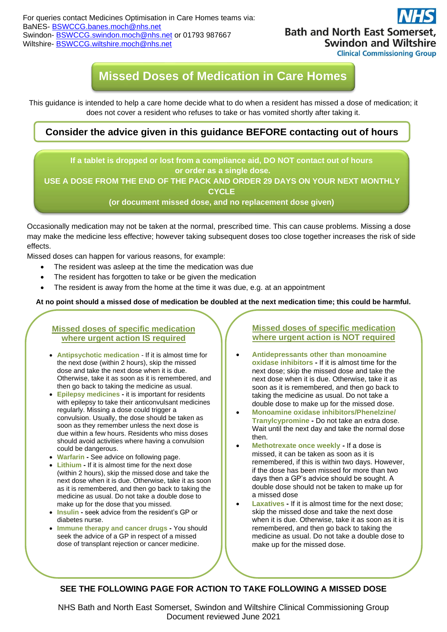For queries contact Medicines Optimisation in Care Homes teams via: BaNES- [BSWCCG.banes.moch@nhs.net](mailto:BSWCCG.banes.moch@nhs.net) Swindon- [BSWCCG.swindon.moch@nhs.net](mailto:BSWCCG.swindon.moch@nhs.net) or 01793 987667 Wiltshire- [BSWCCG.wiltshire.moch@nhs.net](mailto:BSWCCG.wiltshire.moch@nhs.net)



**Clinical Commissioning Group** 

# **Missed Doses of Medication in Care Homes**

This guidance is intended to help a care home decide what to do when a resident has missed a dose of medication; it does not cover a resident who refuses to take or has vomited shortly after taking it.

## **Consider the advice given in this guidance BEFORE contacting out of hours services.**

**If a tablet is dropped or lost from a compliance aid, DO NOT contact out of hours or order as a single dose.** 

**USE A DOSE FROM THE END OF THE PACK AND ORDER 29 DAYS ON YOUR NEXT MONTHLY CYCLE**

**(or document missed dose, and no replacement dose given)**

Occasionally medication may not be taken at the normal, prescribed time. This can cause problems. Missing a dose may make the medicine less effective; however taking subsequent doses too close together increases the risk of side effects.

Missed doses can happen for various reasons, for example:

- The resident was asleep at the time the medication was due
- The resident has forgotten to take or be given the medication
- The resident is away from the home at the time it was due, e.g. at an appointment

**At no point should a missed dose of medication be doubled at the next medication time; this could be harmful.**

#### **Missed doses of specific medication where urgent action IS required**

- **Antipsychotic medication** If it is almost time for the next dose (within 2 hours), skip the missed dose and take the next dose when it is due. Otherwise, take it as soon as it is remembered, and then go back to taking the medicine as usual.
- **Epilepsy medicines -** it is important for residents with epilepsy to take their anticonvulsant medicines regularly. Missing a dose could trigger a convulsion. Usually, the dose should be taken as soon as they remember unless the next dose is due within a few hours. Residents who miss doses should avoid activities where having a convulsion could be dangerous.
- **Warfarin -** See advice on following page.
- **Lithium -** If it is almost time for the next dose (within 2 hours), skip the missed dose and take the next dose when it is due. Otherwise, take it as soon as it is remembered, and then go back to taking the medicine as usual. Do not take a double dose to make up for the dose that you missed.
- **Insulin -** seek advice from the resident's GP or diabetes nurse.
- **Immune therapy and cancer drugs -** You should seek the advice of a GP in respect of a missed dose of transplant rejection or cancer medicine.

**Missed doses of specific medication where urgent action is NOT required**

- **Antidepressants other than monoamine oxidase inhibitors -** If it is almost time for the next dose; skip the missed dose and take the next dose when it is due. Otherwise, take it as soon as it is remembered, and then go back to taking the medicine as usual. Do not take a double dose to make up for the missed dose.
- **Monoamine oxidase inhibitors/Phenelzine/ Tranylcypromine -** Do not take an extra dose. Wait until the next day and take the normal dose then.
- **Methotrexate once weekly -** If a dose is missed, it can be taken as soon as it is remembered, if this is within two days. However, if the dose has been missed for more than two days then a GP's advice should be sought. A double dose should not be taken to make up for a missed dose
- **Laxatives** If it is almost time for the next dose; skip the missed dose and take the next dose when it is due. Otherwise, take it as soon as it is remembered, and then go back to taking the medicine as usual. Do not take a double dose to make up for the missed dose.

#### **SEE THE FOLLOWING PAGE FOR ACTION TO TAKE FOLLOWING A MISSED DOSE**

NHS Bath and North East Somerset, Swindon and Wiltshire Clinical Commissioning Group Document reviewed June 2021